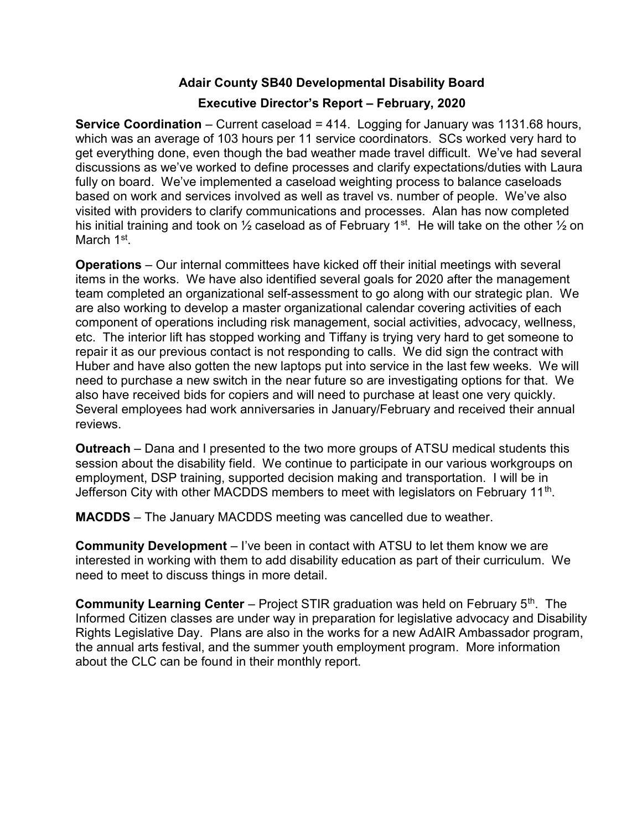## Adair County SB40 Developmental Disability Board

## Executive Director's Report – February, 2020

Service Coordination – Current caseload = 414. Logging for January was 1131.68 hours, which was an average of 103 hours per 11 service coordinators. SCs worked very hard to get everything done, even though the bad weather made travel difficult. We've had several discussions as we've worked to define processes and clarify expectations/duties with Laura fully on board. We've implemented a caseload weighting process to balance caseloads based on work and services involved as well as travel vs. number of people. We've also visited with providers to clarify communications and processes. Alan has now completed his initial training and took on  $\frac{1}{2}$  caseload as of February 1<sup>st</sup>. He will take on the other  $\frac{1}{2}$  on March 1<sup>st</sup>.

Operations – Our internal committees have kicked off their initial meetings with several items in the works. We have also identified several goals for 2020 after the management team completed an organizational self-assessment to go along with our strategic plan. We are also working to develop a master organizational calendar covering activities of each component of operations including risk management, social activities, advocacy, wellness, etc. The interior lift has stopped working and Tiffany is trying very hard to get someone to repair it as our previous contact is not responding to calls. We did sign the contract with Huber and have also gotten the new laptops put into service in the last few weeks. We will need to purchase a new switch in the near future so are investigating options for that. We also have received bids for copiers and will need to purchase at least one very quickly. Several employees had work anniversaries in January/February and received their annual reviews.

Outreach – Dana and I presented to the two more groups of ATSU medical students this session about the disability field. We continue to participate in our various workgroups on employment, DSP training, supported decision making and transportation. I will be in Jefferson City with other MACDDS members to meet with legislators on February 11<sup>th</sup>.

MACDDS – The January MACDDS meeting was cancelled due to weather.

Community Development – I've been in contact with ATSU to let them know we are interested in working with them to add disability education as part of their curriculum. We need to meet to discuss things in more detail.

**Community Learning Center** – Project STIR graduation was held on February  $5<sup>th</sup>$ . The Informed Citizen classes are under way in preparation for legislative advocacy and Disability Rights Legislative Day. Plans are also in the works for a new AdAIR Ambassador program, the annual arts festival, and the summer youth employment program. More information about the CLC can be found in their monthly report.